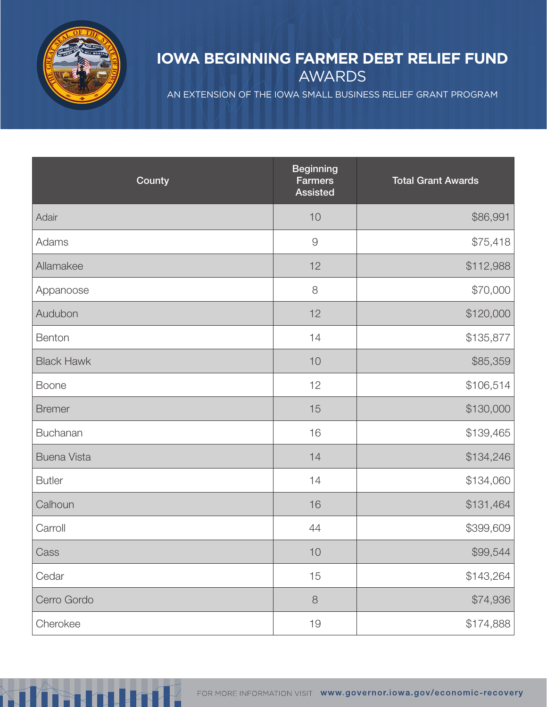

## **IOWA BEGINNING FARMER DEBT RELIEF FUND** AWARDS

AN EXTENSION OF THE IOWA SMALL BUSINESS RELIEF GRANT PROGRAM

| County             | <b>Beginning</b><br><b>Farmers</b><br><b>Assisted</b> | <b>Total Grant Awards</b> |
|--------------------|-------------------------------------------------------|---------------------------|
| Adair              | 10                                                    | \$86,991                  |
| Adams              | $\Theta$                                              | \$75,418                  |
| Allamakee          | 12                                                    | \$112,988                 |
| Appanoose          | $\,8\,$                                               | \$70,000                  |
| Audubon            | 12                                                    | \$120,000                 |
| Benton             | 14                                                    | \$135,877                 |
| <b>Black Hawk</b>  | $10$                                                  | \$85,359                  |
| <b>Boone</b>       | 12                                                    | \$106,514                 |
| <b>Bremer</b>      | 15                                                    | \$130,000                 |
| Buchanan           | 16                                                    | \$139,465                 |
| <b>Buena Vista</b> | 14                                                    | \$134,246                 |
| <b>Butler</b>      | 14                                                    | \$134,060                 |
| Calhoun            | 16                                                    | \$131,464                 |
| Carroll            | 44                                                    | \$399,609                 |
| Cass               | $10$                                                  | \$99,544                  |
| Cedar              | 15                                                    | \$143,264                 |
| Cerro Gordo        | $\,8\,$                                               | \$74,936                  |
| Cherokee           | 19                                                    | \$174,888                 |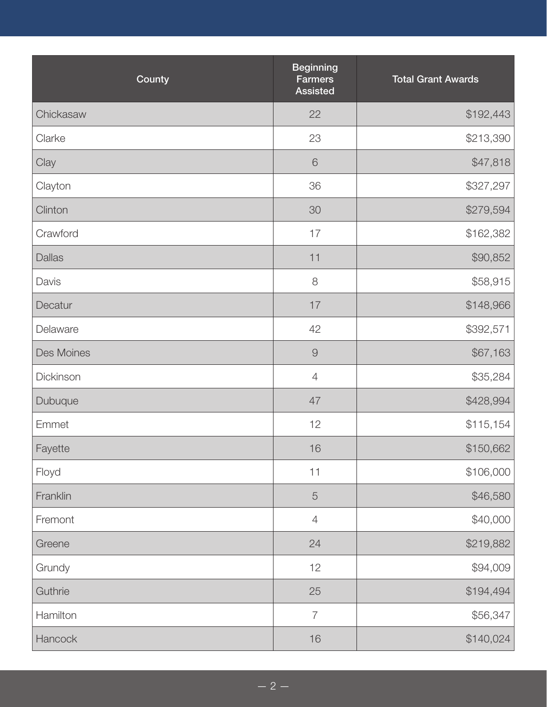| County        | <b>Beginning</b><br><b>Farmers</b><br><b>Assisted</b> | <b>Total Grant Awards</b> |
|---------------|-------------------------------------------------------|---------------------------|
| Chickasaw     | 22                                                    | \$192,443                 |
| Clarke        | 23                                                    | \$213,390                 |
| Clay          | $\mathbf 6$                                           | \$47,818                  |
| Clayton       | 36                                                    | \$327,297                 |
| Clinton       | 30                                                    | \$279,594                 |
| Crawford      | 17                                                    | \$162,382                 |
| <b>Dallas</b> | 11                                                    | \$90,852                  |
| Davis         | 8                                                     | \$58,915                  |
| Decatur       | 17                                                    | \$148,966                 |
| Delaware      | 42                                                    | \$392,571                 |
| Des Moines    | $\Theta$                                              | \$67,163                  |
| Dickinson     | $\overline{4}$                                        | \$35,284                  |
| Dubuque       | 47                                                    | \$428,994                 |
| Emmet         | 12                                                    | \$115,154                 |
| Fayette       | 16                                                    | \$150,662                 |
| Floyd         | 11                                                    | \$106,000                 |
| Franklin      | 5                                                     | \$46,580                  |
| Fremont       | $\overline{4}$                                        | \$40,000                  |
| Greene        | 24                                                    | \$219,882                 |
| Grundy        | 12                                                    | \$94,009                  |
| Guthrie       | 25                                                    | \$194,494                 |
| Hamilton      | $\overline{7}$                                        | \$56,347                  |
| Hancock       | 16                                                    | \$140,024                 |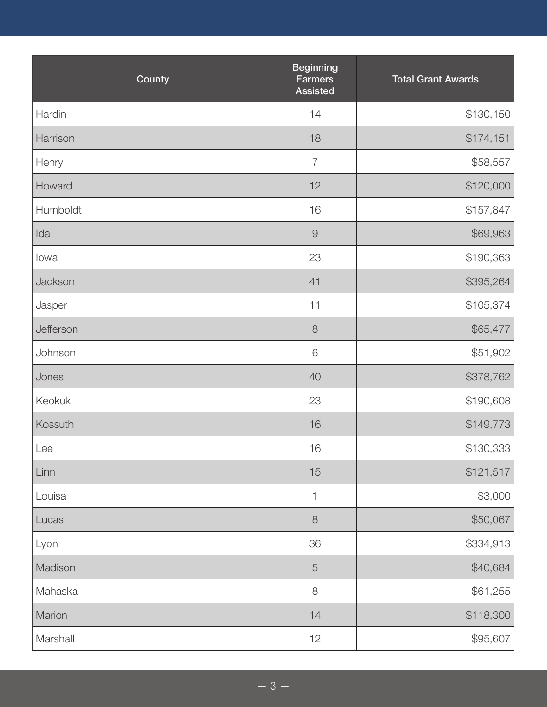| County    | <b>Beginning</b><br><b>Farmers</b><br><b>Assisted</b> | <b>Total Grant Awards</b> |
|-----------|-------------------------------------------------------|---------------------------|
| Hardin    | 14                                                    | \$130,150                 |
| Harrison  | 18                                                    | \$174,151                 |
| Henry     | $\overline{7}$                                        | \$58,557                  |
| Howard    | 12                                                    | \$120,000                 |
| Humboldt  | 16                                                    | \$157,847                 |
| Ida       | $\Theta$                                              | \$69,963                  |
| lowa      | 23                                                    | \$190,363                 |
| Jackson   | 41                                                    | \$395,264                 |
| Jasper    | 11                                                    | \$105,374                 |
| Jefferson | $\,8\,$                                               | \$65,477                  |
| Johnson   | $\mathsf 6$                                           | \$51,902                  |
| Jones     | 40                                                    | \$378,762                 |
| Keokuk    | 23                                                    | \$190,608                 |
| Kossuth   | 16                                                    | \$149,773                 |
| Lee       | 16                                                    | \$130,333                 |
| Linn      | 15                                                    | \$121,517                 |
| Louisa    | $\mathbf{1}$                                          | \$3,000                   |
| Lucas     | $\,8\,$                                               | \$50,067                  |
| Lyon      | 36                                                    | \$334,913                 |
| Madison   | $\overline{5}$                                        | \$40,684                  |
| Mahaska   | $\,8\,$                                               | \$61,255                  |
| Marion    | 14                                                    | \$118,300                 |
| Marshall  | 12                                                    | \$95,607                  |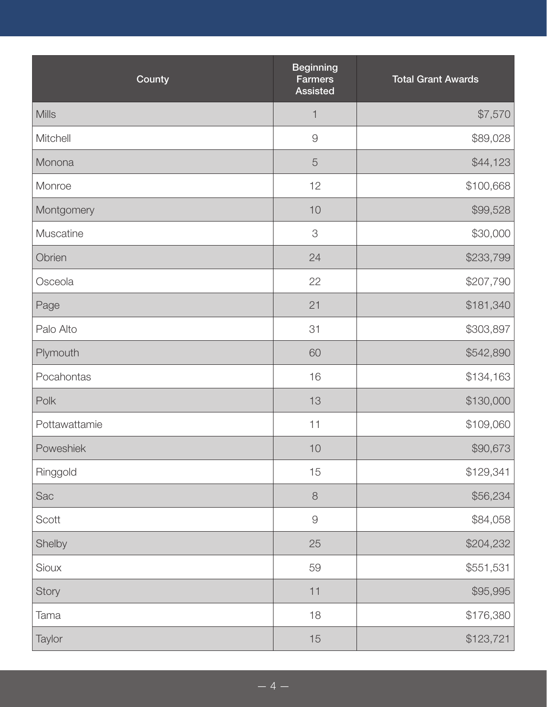| County        | <b>Beginning</b><br><b>Farmers</b><br><b>Assisted</b> | <b>Total Grant Awards</b> |
|---------------|-------------------------------------------------------|---------------------------|
| <b>Mills</b>  | $\mathbf{1}$                                          | \$7,570                   |
| Mitchell      | $\mathcal{G}$                                         | \$89,028                  |
| Monona        | $\overline{5}$                                        | \$44,123                  |
| Monroe        | 12                                                    | \$100,668                 |
| Montgomery    | $10$                                                  | \$99,528                  |
| Muscatine     | 3                                                     | \$30,000                  |
| Obrien        | 24                                                    | \$233,799                 |
| Osceola       | 22                                                    | \$207,790                 |
| Page          | 21                                                    | \$181,340                 |
| Palo Alto     | 31                                                    | \$303,897                 |
| Plymouth      | 60                                                    | \$542,890                 |
| Pocahontas    | 16                                                    | \$134,163                 |
| Polk          | 13                                                    | \$130,000                 |
| Pottawattamie | 11                                                    | \$109,060                 |
| Poweshiek     | 10                                                    | \$90,673                  |
| Ringgold      | 15                                                    | \$129,341                 |
| Sac           | $\,8\,$                                               | \$56,234                  |
| Scott         | $\Theta$                                              | \$84,058                  |
| Shelby        | 25                                                    | \$204,232                 |
| Sioux         | 59                                                    | \$551,531                 |
| Story         | 11                                                    | \$95,995                  |
| Tama          | $18$                                                  | \$176,380                 |
| Taylor        | 15                                                    | \$123,721                 |